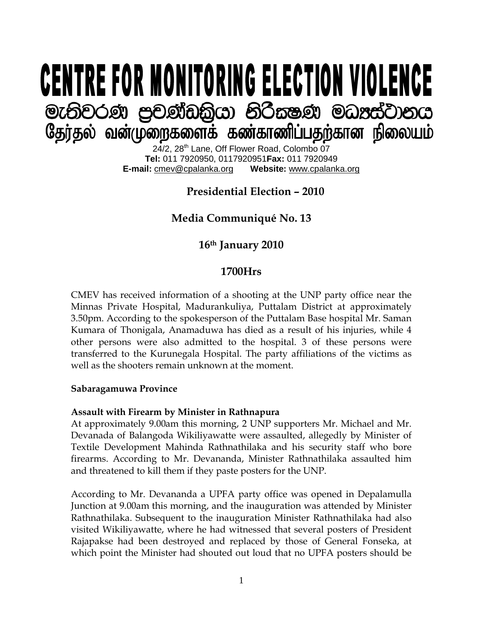# **CENTRE FOR MONITORING ELECTION VIOLENCE** මැතිවරණ පුචණ්ඩකිුයා නිරීකෂණ මධාප්ටානය தேர்தல் வன்முறைகளைக் கண்காணிப்பதற்கான நிலையம்

24/2, 28<sup>th</sup> Lane, Off Flower Road, Colombo 07 **Tel:** 011 7920950, 0117920951**Fax:** 011 7920949 **E-mail:** cmev@cpalanka.org

# **Presidential Election – 2010**

# **Media Communiqué No. 13**

## **16th January 2010**

#### **1700Hrs**

CMEV has received information of a shooting at the UNP party office near the Minnas Private Hospital, Madurankuliya, Puttalam District at approximately 3.50pm. According to the spokesperson of the Puttalam Base hospital Mr. Saman Kumara of Thonigala, Anamaduwa has died as a result of his injuries, while 4 other persons were also admitted to the hospital. 3 of these persons were transferred to the Kurunegala Hospital. The party affiliations of the victims as well as the shooters remain unknown at the moment.

#### **Sabaragamuwa Province**

#### **Assault with Firearm by Minister in Rathnapura**

At approximately 9.00am this morning, 2 UNP supporters Mr. Michael and Mr. Devanada of Balangoda Wikiliyawatte were assaulted, allegedly by Minister of Textile Development Mahinda Rathnathilaka and his security staff who bore firearms. According to Mr. Devananda, Minister Rathnathilaka assaulted him and threatened to kill them if they paste posters for the UNP.

According to Mr. Devananda a UPFA party office was opened in Depalamulla Junction at 9.00am this morning, and the inauguration was attended by Minister Rathnathilaka. Subsequent to the inauguration Minister Rathnathilaka had also visited Wikiliyawatte, where he had witnessed that several posters of President Rajapakse had been destroyed and replaced by those of General Fonseka, at which point the Minister had shouted out loud that no UPFA posters should be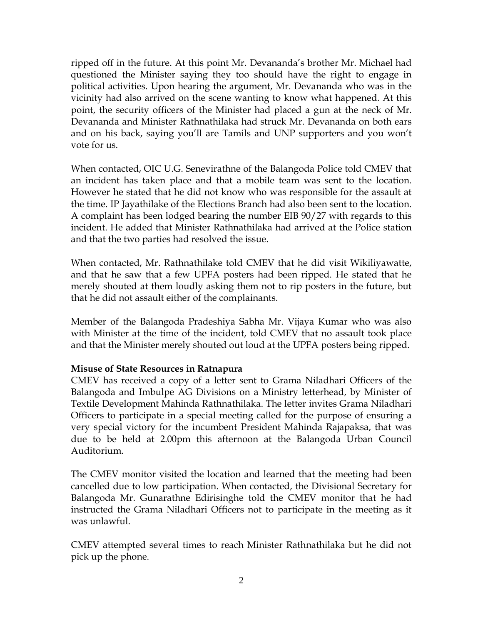ripped off in the future. At this point Mr. Devananda's brother Mr. Michael had questioned the Minister saying they too should have the right to engage in political activities. Upon hearing the argument, Mr. Devananda who was in the vicinity had also arrived on the scene wanting to know what happened. At this point, the security officers of the Minister had placed a gun at the neck of Mr. Devananda and Minister Rathnathilaka had struck Mr. Devananda on both ears and on his back, saying you'll are Tamils and UNP supporters and you won't vote for us.

When contacted, OIC U.G. Senevirathne of the Balangoda Police told CMEV that an incident has taken place and that a mobile team was sent to the location. However he stated that he did not know who was responsible for the assault at the time. IP Jayathilake of the Elections Branch had also been sent to the location. A complaint has been lodged bearing the number EIB 90/27 with regards to this incident. He added that Minister Rathnathilaka had arrived at the Police station and that the two parties had resolved the issue.

When contacted, Mr. Rathnathilake told CMEV that he did visit Wikiliyawatte, and that he saw that a few UPFA posters had been ripped. He stated that he merely shouted at them loudly asking them not to rip posters in the future, but that he did not assault either of the complainants.

Member of the Balangoda Pradeshiya Sabha Mr. Vijaya Kumar who was also with Minister at the time of the incident, told CMEV that no assault took place and that the Minister merely shouted out loud at the UPFA posters being ripped.

#### **Misuse of State Resources in Ratnapura**

CMEV has received a copy of a letter sent to Grama Niladhari Officers of the Balangoda and Imbulpe AG Divisions on a Ministry letterhead, by Minister of Textile Development Mahinda Rathnathilaka. The letter invites Grama Niladhari Officers to participate in a special meeting called for the purpose of ensuring a very special victory for the incumbent President Mahinda Rajapaksa, that was due to be held at 2.00pm this afternoon at the Balangoda Urban Council Auditorium.

The CMEV monitor visited the location and learned that the meeting had been cancelled due to low participation. When contacted, the Divisional Secretary for Balangoda Mr. Gunarathne Edirisinghe told the CMEV monitor that he had instructed the Grama Niladhari Officers not to participate in the meeting as it was unlawful.

CMEV attempted several times to reach Minister Rathnathilaka but he did not pick up the phone.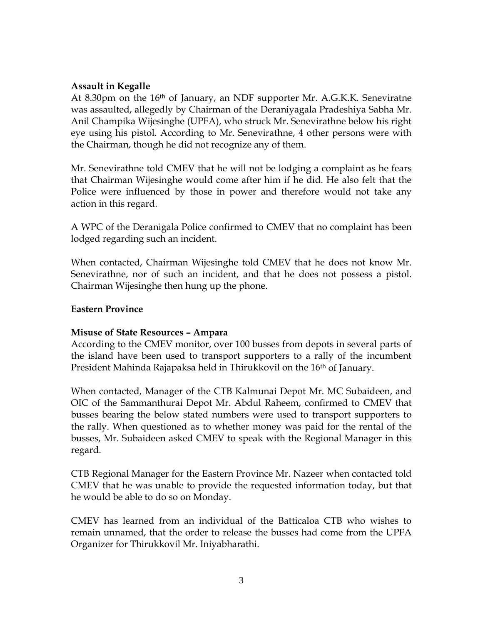#### **Assault in Kegalle**

At 8.30pm on the 16<sup>th</sup> of January, an NDF supporter Mr. A.G.K.K. Seneviratne was assaulted, allegedly by Chairman of the Deraniyagala Pradeshiya Sabha Mr. Anil Champika Wijesinghe (UPFA), who struck Mr. Senevirathne below his right eye using his pistol. According to Mr. Senevirathne, 4 other persons were with the Chairman, though he did not recognize any of them.

Mr. Senevirathne told CMEV that he will not be lodging a complaint as he fears that Chairman Wijesinghe would come after him if he did. He also felt that the Police were influenced by those in power and therefore would not take any action in this regard.

A WPC of the Deranigala Police confirmed to CMEV that no complaint has been lodged regarding such an incident.

When contacted, Chairman Wijesinghe told CMEV that he does not know Mr. Senevirathne, nor of such an incident, and that he does not possess a pistol. Chairman Wijesinghe then hung up the phone.

#### **Eastern Province**

#### **Misuse of State Resources – Ampara**

According to the CMEV monitor, over 100 busses from depots in several parts of the island have been used to transport supporters to a rally of the incumbent President Mahinda Rajapaksa held in Thirukkovil on the 16<sup>th</sup> of January.

When contacted, Manager of the CTB Kalmunai Depot Mr. MC Subaideen, and OIC of the Sammanthurai Depot Mr. Abdul Raheem, confirmed to CMEV that busses bearing the below stated numbers were used to transport supporters to the rally. When questioned as to whether money was paid for the rental of the busses, Mr. Subaideen asked CMEV to speak with the Regional Manager in this regard.

CTB Regional Manager for the Eastern Province Mr. Nazeer when contacted told CMEV that he was unable to provide the requested information today, but that he would be able to do so on Monday.

CMEV has learned from an individual of the Batticaloa CTB who wishes to remain unnamed, that the order to release the busses had come from the UPFA Organizer for Thirukkovil Mr. Iniyabharathi.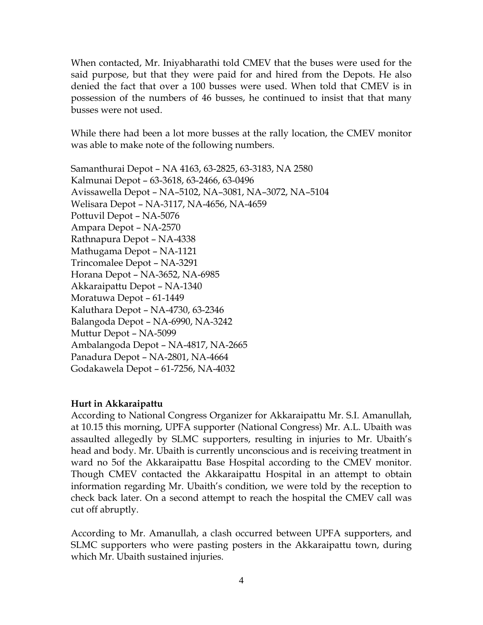When contacted, Mr. Iniyabharathi told CMEV that the buses were used for the said purpose, but that they were paid for and hired from the Depots. He also denied the fact that over a 100 busses were used. When told that CMEV is in possession of the numbers of 46 busses, he continued to insist that that many busses were not used.

While there had been a lot more busses at the rally location, the CMEV monitor was able to make note of the following numbers.

Samanthurai Depot – NA 4163, 63-2825, 63-3183, NA 2580 Kalmunai Depot – 63-3618, 63-2466, 63-0496 Avissawella Depot – NA–5102, NA–3081, NA–3072, NA–5104 Welisara Depot – NA-3117, NA-4656, NA-4659 Pottuvil Depot – NA-5076 Ampara Depot – NA-2570 Rathnapura Depot – NA-4338 Mathugama Depot – NA-1121 Trincomalee Depot – NA-3291 Horana Depot – NA-3652, NA-6985 Akkaraipattu Depot – NA-1340 Moratuwa Depot – 61-1449 Kaluthara Depot – NA-4730, 63-2346 Balangoda Depot – NA-6990, NA-3242 Muttur Depot – NA-5099 Ambalangoda Depot – NA-4817, NA-2665 Panadura Depot – NA-2801, NA-4664 Godakawela Depot – 61-7256, NA-4032

#### **Hurt in Akkaraipattu**

According to National Congress Organizer for Akkaraipattu Mr. S.I. Amanullah, at 10.15 this morning, UPFA supporter (National Congress) Mr. A.L. Ubaith was assaulted allegedly by SLMC supporters, resulting in injuries to Mr. Ubaith's head and body. Mr. Ubaith is currently unconscious and is receiving treatment in ward no 5of the Akkaraipattu Base Hospital according to the CMEV monitor. Though CMEV contacted the Akkaraipattu Hospital in an attempt to obtain information regarding Mr. Ubaith's condition, we were told by the reception to check back later. On a second attempt to reach the hospital the CMEV call was cut off abruptly.

According to Mr. Amanullah, a clash occurred between UPFA supporters, and SLMC supporters who were pasting posters in the Akkaraipattu town, during which Mr. Ubaith sustained injuries.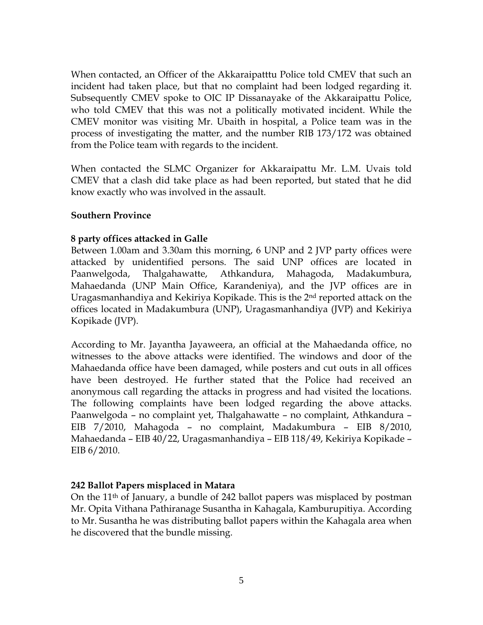When contacted, an Officer of the Akkaraipatttu Police told CMEV that such an incident had taken place, but that no complaint had been lodged regarding it. Subsequently CMEV spoke to OIC IP Dissanayake of the Akkaraipattu Police, who told CMEV that this was not a politically motivated incident. While the CMEV monitor was visiting Mr. Ubaith in hospital, a Police team was in the process of investigating the matter, and the number RIB 173/172 was obtained from the Police team with regards to the incident.

When contacted the SLMC Organizer for Akkaraipattu Mr. L.M. Uvais told CMEV that a clash did take place as had been reported, but stated that he did know exactly who was involved in the assault.

#### **Southern Province**

#### **8 party offices attacked in Galle**

Between 1.00am and 3.30am this morning, 6 UNP and 2 JVP party offices were attacked by unidentified persons. The said UNP offices are located in Paanwelgoda, Thalgahawatte, Athkandura, Mahagoda, Madakumbura, Mahaedanda (UNP Main Office, Karandeniya), and the JVP offices are in Uragasmanhandiya and Kekiriya Kopikade. This is the 2nd reported attack on the offices located in Madakumbura (UNP), Uragasmanhandiya (JVP) and Kekiriya Kopikade (JVP).

According to Mr. Jayantha Jayaweera, an official at the Mahaedanda office, no witnesses to the above attacks were identified. The windows and door of the Mahaedanda office have been damaged, while posters and cut outs in all offices have been destroyed. He further stated that the Police had received an anonymous call regarding the attacks in progress and had visited the locations. The following complaints have been lodged regarding the above attacks. Paanwelgoda – no complaint yet, Thalgahawatte – no complaint, Athkandura – EIB 7/2010, Mahagoda – no complaint, Madakumbura – EIB 8/2010, Mahaedanda – EIB 40/22, Uragasmanhandiya – EIB 118/49, Kekiriya Kopikade – EIB 6/2010.

#### **242 Ballot Papers misplaced in Matara**

On the 11th of January, a bundle of 242 ballot papers was misplaced by postman Mr. Opita Vithana Pathiranage Susantha in Kahagala, Kamburupitiya. According to Mr. Susantha he was distributing ballot papers within the Kahagala area when he discovered that the bundle missing.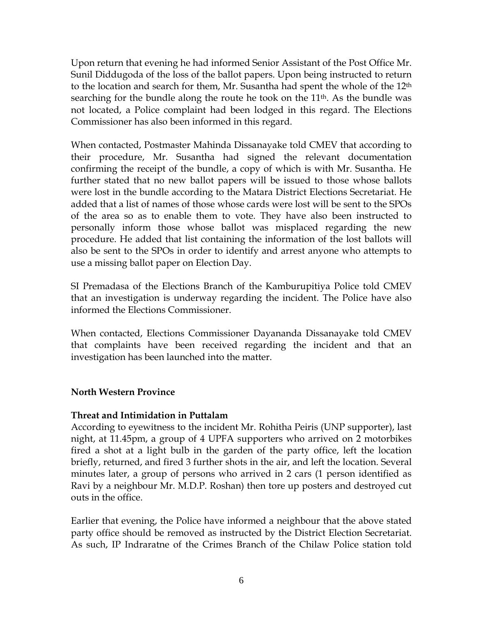Upon return that evening he had informed Senior Assistant of the Post Office Mr. Sunil Diddugoda of the loss of the ballot papers. Upon being instructed to return to the location and search for them, Mr. Susantha had spent the whole of the 12<sup>th</sup> searching for the bundle along the route he took on the  $11<sup>th</sup>$ . As the bundle was not located, a Police complaint had been lodged in this regard. The Elections Commissioner has also been informed in this regard.

When contacted, Postmaster Mahinda Dissanayake told CMEV that according to their procedure, Mr. Susantha had signed the relevant documentation confirming the receipt of the bundle, a copy of which is with Mr. Susantha. He further stated that no new ballot papers will be issued to those whose ballots were lost in the bundle according to the Matara District Elections Secretariat. He added that a list of names of those whose cards were lost will be sent to the SPOs of the area so as to enable them to vote. They have also been instructed to personally inform those whose ballot was misplaced regarding the new procedure. He added that list containing the information of the lost ballots will also be sent to the SPOs in order to identify and arrest anyone who attempts to use a missing ballot paper on Election Day.

SI Premadasa of the Elections Branch of the Kamburupitiya Police told CMEV that an investigation is underway regarding the incident. The Police have also informed the Elections Commissioner.

When contacted, Elections Commissioner Dayananda Dissanayake told CMEV that complaints have been received regarding the incident and that an investigation has been launched into the matter.

## **North Western Province**

#### **Threat and Intimidation in Puttalam**

According to eyewitness to the incident Mr. Rohitha Peiris (UNP supporter), last night, at 11.45pm, a group of 4 UPFA supporters who arrived on 2 motorbikes fired a shot at a light bulb in the garden of the party office, left the location briefly, returned, and fired 3 further shots in the air, and left the location. Several minutes later, a group of persons who arrived in 2 cars (1 person identified as Ravi by a neighbour Mr. M.D.P. Roshan) then tore up posters and destroyed cut outs in the office.

Earlier that evening, the Police have informed a neighbour that the above stated party office should be removed as instructed by the District Election Secretariat. As such, IP Indraratne of the Crimes Branch of the Chilaw Police station told